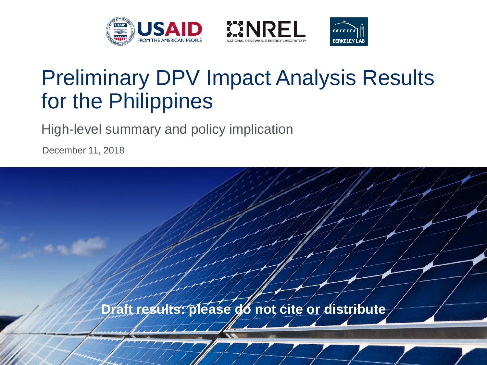





# Preliminary DPV Impact Analysis Results for the Philippines

High-level summary and policy implication

December 11, 2018

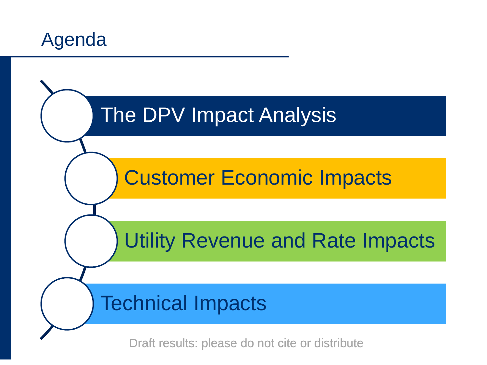

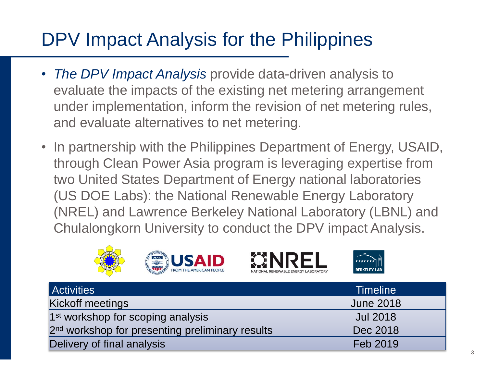# DPV Impact Analysis for the Philippines

- *The DPV Impact Analysis* provide data-driven analysis to evaluate the impacts of the existing net metering arrangement under implementation, inform the revision of net metering rules, and evaluate alternatives to net metering.
- In partnership with the Philippines Department of Energy, USAID, through Clean Power Asia program is leveraging expertise from two United States Department of Energy national laboratories (US DOE Labs): the National Renewable Energy Laboratory (NREL) and Lawrence Berkeley National Laboratory (LBNL) and Chulalongkorn University to conduct the DPV impact Analysis.







| <b>Activities</b>                                           | <b>Timeline</b>  |
|-------------------------------------------------------------|------------------|
| Kickoff meetings                                            | <b>June 2018</b> |
| $1st$ workshop for scoping analysis                         | <b>Jul 2018</b>  |
| 2 <sup>nd</sup> workshop for presenting preliminary results | Dec 2018         |
| Delivery of final analysis                                  | Feb 2019         |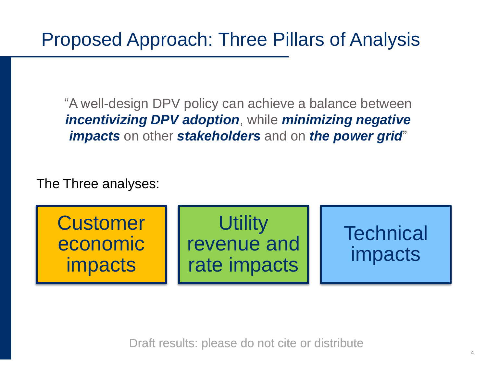"A well-design DPV policy can achieve a balance between *incentivizing DPV adoption*, while *minimizing negative impacts* on other *stakeholders* and on *the power grid*"

The Three analyses:

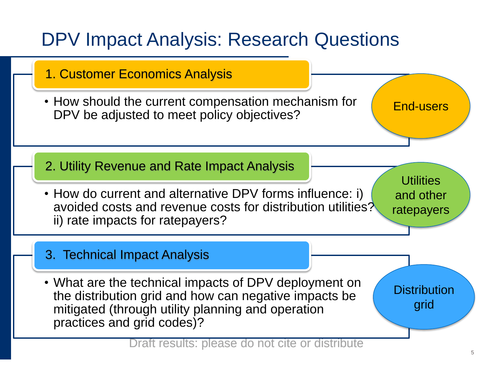# DPV Impact Analysis: Research Questions

- 1. Customer Economics Analysis
- How should the current compensation mechanism for DPV be adjusted to meet policy objectives?

End-users

2. Utility Revenue and Rate Impact Analysis

• How do current and alternative DPV forms influence: i) avoided costs and revenue costs for distribution utilities? ii) rate impacts for ratepayers?

**Utilities** and other ratepayers

3. Technical Impact Analysis

• What are the technical impacts of DPV deployment on the distribution grid and how can negative impacts be mitigated (through utility planning and operation practices and grid codes)?

**Distribution** grid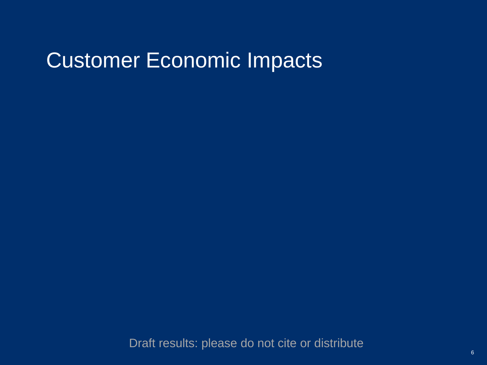# Customer Economic Impacts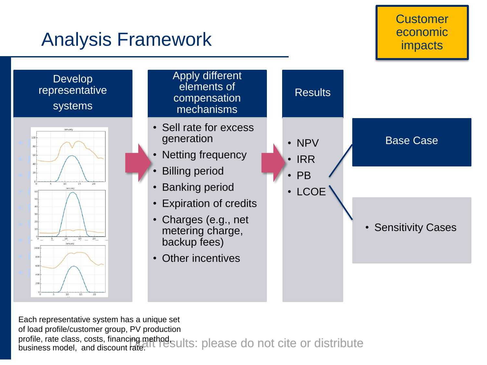### Analysis Framework



profile, rate class, costs, financing method<br>business model, and discount rated L TeSults: please do not cite or distribute Each representative system has a unique set of load profile/customer group, PV production business model, and discount rate.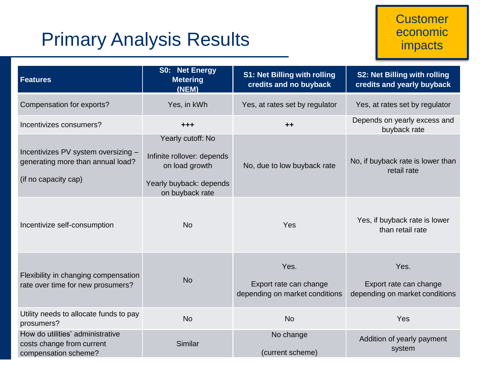## Primary Analysis Results

| <b>Features</b>                                                                                  | <b>S0: Net Energy</b><br><b>Metering</b><br>(NEM)                                                               | S1: Net Billing with rolling<br>credits and no buyback           | S2: Net Billing with rolling<br>credits and yearly buyback       |
|--------------------------------------------------------------------------------------------------|-----------------------------------------------------------------------------------------------------------------|------------------------------------------------------------------|------------------------------------------------------------------|
| Compensation for exports?                                                                        | Yes, in kWh                                                                                                     | Yes, at rates set by regulator                                   | Yes, at rates set by regulator                                   |
| Incentivizes consumers?                                                                          | $+ + +$                                                                                                         | $++$                                                             | Depends on yearly excess and<br>buyback rate                     |
| Incentivizes PV system oversizing -<br>generating more than annual load?<br>(if no capacity cap) | Yearly cutoff: No<br>Infinite rollover: depends<br>on load growth<br>Yearly buyback: depends<br>on buyback rate | No, due to low buyback rate                                      | No, if buyback rate is lower than<br>retail rate                 |
| Incentivize self-consumption                                                                     | <b>No</b>                                                                                                       | Yes                                                              | Yes, if buyback rate is lower<br>than retail rate                |
| Flexibility in changing compensation<br>rate over time for new prosumers?                        | <b>No</b>                                                                                                       | Yes.<br>Export rate can change<br>depending on market conditions | Yes.<br>Export rate can change<br>depending on market conditions |
| Utility needs to allocate funds to pay<br>prosumers?                                             | <b>No</b>                                                                                                       | <b>No</b>                                                        | Yes                                                              |
| How do utilities' administrative<br>costs change from current<br>compensation scheme?            | Similar                                                                                                         | No change<br>(current scheme)                                    | Addition of yearly payment<br>system                             |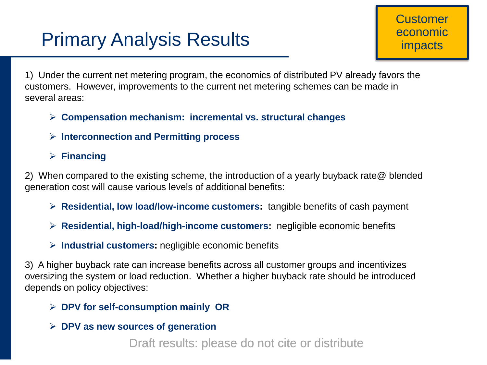# Primary Analysis Results

1) Under the current net metering program, the economics of distributed PV already favors the customers. However, improvements to the current net metering schemes can be made in several areas:

- **Compensation mechanism: incremental vs. structural changes**
- **Interconnection and Permitting process**
- **Financing**

2) When compared to the existing scheme, the introduction of a yearly buyback rate@ blended generation cost will cause various levels of additional benefits:

- **Residential, low load/low-income customers:** tangible benefits of cash payment
- **Residential, high-load/high-income customers:** negligible economic benefits
- **Industrial customers:** negligible economic benefits

3) A higher buyback rate can increase benefits across all customer groups and incentivizes oversizing the system or load reduction. Whether a higher buyback rate should be introduced depends on policy objectives:

- **DPV for self-consumption mainly OR**
- **DPV as new sources of generation**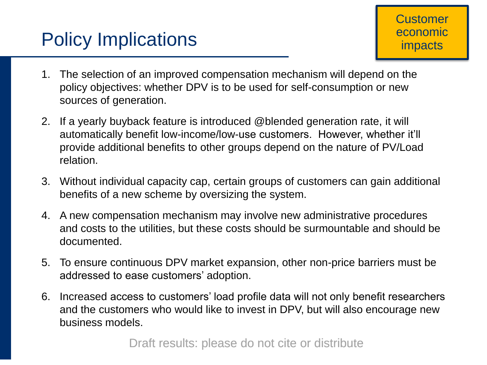- 1. The selection of an improved compensation mechanism will depend on the policy objectives: whether DPV is to be used for self-consumption or new sources of generation.
- 2. If a yearly buyback feature is introduced @blended generation rate, it will automatically benefit low-income/low-use customers. However, whether it'll provide additional benefits to other groups depend on the nature of PV/Load relation.
- 3. Without individual capacity cap, certain groups of customers can gain additional benefits of a new scheme by oversizing the system.
- 4. A new compensation mechanism may involve new administrative procedures and costs to the utilities, but these costs should be surmountable and should be documented.
- 5. To ensure continuous DPV market expansion, other non-price barriers must be addressed to ease customers' adoption.
- 6. Increased access to customers' load profile data will not only benefit researchers and the customers who would like to invest in DPV, but will also encourage new business models.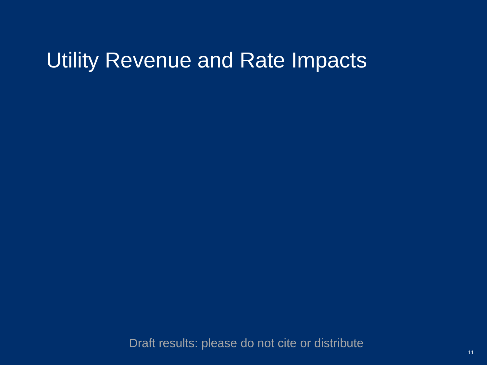# Utility Revenue and Rate Impacts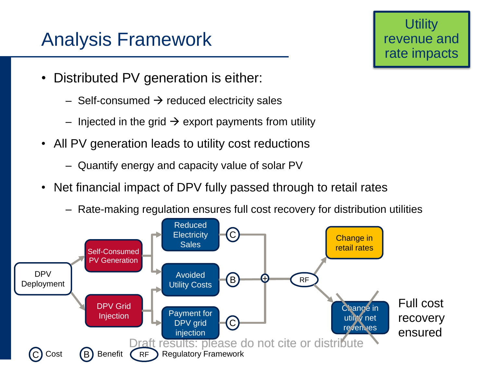## Analysis Framework

**Utility** revenue and rate impacts

- Distributed PV generation is either:
	- $-$  Self-consumed  $\rightarrow$  reduced electricity sales
	- Injected in the grid  $\rightarrow$  export payments from utility
- All PV generation leads to utility cost reductions
	- Quantify energy and capacity value of solar PV
- Net financial impact of DPV fully passed through to retail rates
	- Rate-making regulation ensures full cost recovery for distribution utilities

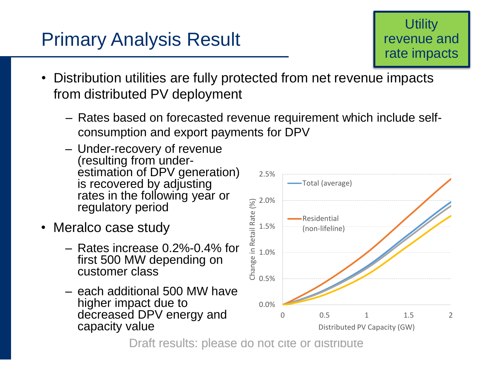## Primary Analysis Result

**Utility** revenue and rate impacts

- Distribution utilities are fully protected from net revenue impacts from distributed PV deployment
	- Rates based on forecasted revenue requirement which include selfconsumption and export payments for DPV
	- Under-recovery of revenue (resulting from underestimation of DPV generation) is recovered by adjusting rates in the following year or regulatory period
- Meralco case study
	- Rates increase 0.2%-0.4% for first 500 MW depending on customer class
	- each additional 500 MW have higher impact due to decreased DPV energy and capacity value

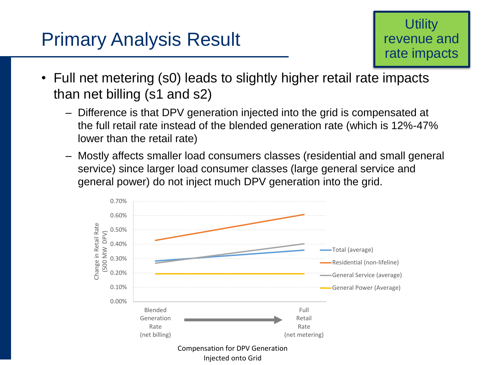### Primary Analysis Result

### **Utility** revenue and rate impacts

- Full net metering (s0) leads to slightly higher retail rate impacts than net billing (s1 and s2)
	- Difference is that DPV generation injected into the grid is compensated at the full retail rate instead of the blended generation rate (which is 12%-47% lower than the retail rate)
	- Mostly affects smaller load consumers classes (residential and small general service) since larger load consumer classes (large general service and general power) do not inject much DPV generation into the grid.

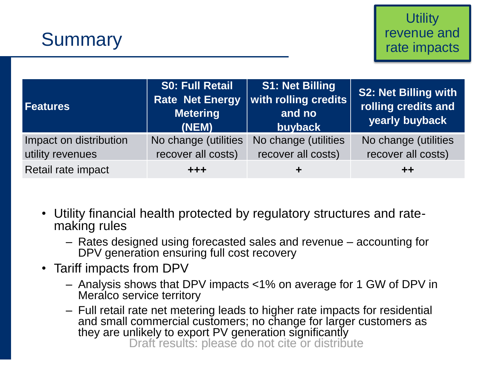

| <b>Features</b>                            | <b>S0: Full Retail</b><br><b>Rate Net Energy</b><br><b>Metering</b><br>(NEM) | <b>S1: Net Billing</b><br>with rolling credits<br>and no<br>buyback | S2: Net Billing with<br>rolling credits and<br>yearly buyback |
|--------------------------------------------|------------------------------------------------------------------------------|---------------------------------------------------------------------|---------------------------------------------------------------|
| Impact on distribution<br>utility revenues | No change (utilities<br>recover all costs)                                   | No change (utilities<br>recover all costs)                          | No change (utilities<br>recover all costs)                    |
| Retail rate impact                         | $+ + +$                                                                      | ÷                                                                   | $+ +$                                                         |

- Utility financial health protected by regulatory structures and ratemaking rules
	- Rates designed using forecasted sales and revenue accounting for DPV generation ensuring full cost recovery
- Tariff impacts from DPV
	- Analysis shows that DPV impacts <1% on average for 1 GW of DPV in Meralco service territory
	- Draft results: please do not cite or distribute – Full retail rate net metering leads to higher rate impacts for residential and small commercial customers; no change for larger customers as they are unlikely to export PV generation significantly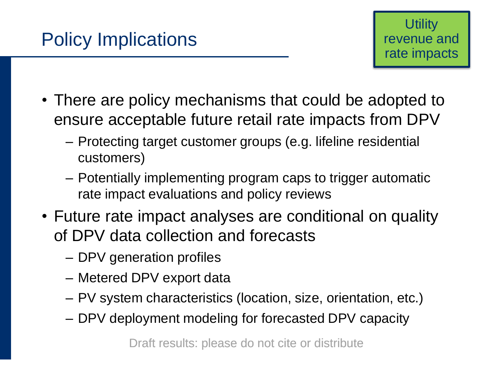- There are policy mechanisms that could be adopted to ensure acceptable future retail rate impacts from DPV
	- Protecting target customer groups (e.g. lifeline residential customers)
	- Potentially implementing program caps to trigger automatic rate impact evaluations and policy reviews
- Future rate impact analyses are conditional on quality of DPV data collection and forecasts
	- DPV generation profiles
	- Metered DPV export data
	- PV system characteristics (location, size, orientation, etc.)
	- DPV deployment modeling for forecasted DPV capacity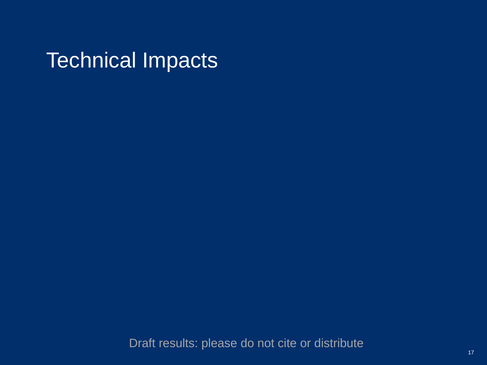Technical Impacts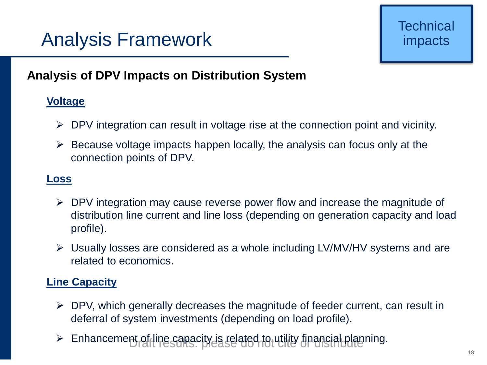# Analysis Framework

### **Analysis of DPV Impacts on Distribution System**

### **Voltage**

- $\triangleright$  DPV integration can result in voltage rise at the connection point and vicinity.
- $\triangleright$  Because voltage impacts happen locally, the analysis can focus only at the connection points of DPV.

### **Loss**

- $\triangleright$  DPV integration may cause reverse power flow and increase the magnitude of distribution line current and line loss (depending on generation capacity and load profile).
- $\triangleright$  Usually losses are considered as a whole including LV/MV/HV systems and are related to economics.

### **Line Capacity**

- $\triangleright$  DPV, which generally decreases the magnitude of feeder current, can result in deferral of system investments (depending on load profile).
- > Enhancement of line capacity is related to utility financial planning.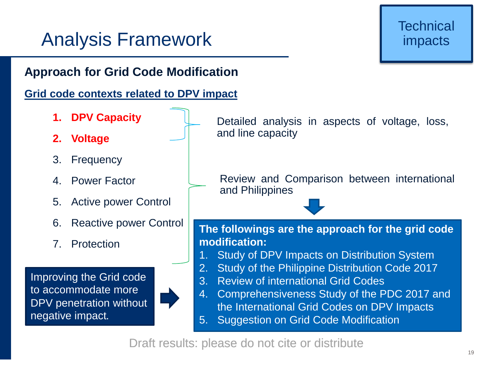# Analysis Framework

### **Approach for Grid Code Modification**

### **Grid code contexts related to DPV impact**

- **1. DPV Capacity**
- **2. Voltage**
- 3. Frequency
- 4. Power Factor
- 5. Active power Control
- 6. Reactive power Control
- 7. Protection

Improving the Grid code to accommodate more DPV penetration without negative impact.



Detailed analysis in aspects of voltage, loss, and line capacity

Review and Comparison between international and Philippines

#### **The followings are the approach for the grid code modification:**

- Study of DPV Impacts on Distribution System
- 2. Study of the Philippine Distribution Code 2017
- 3. Review of international Grid Codes
- 4. Comprehensiveness Study of the PDC 2017 and the International Grid Codes on DPV Impacts
- 5. Suggestion on Grid Code Modification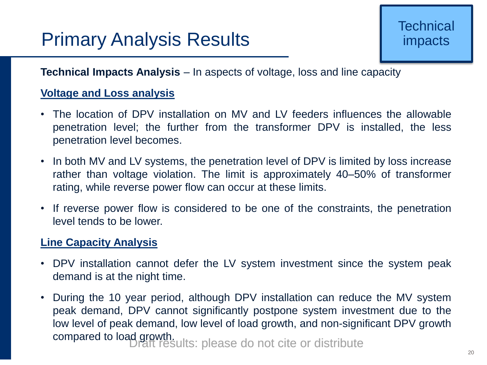# Primary Analysis Results

### **Technical Impacts Analysis** – In aspects of voltage, loss and line capacity

#### **Voltage and Loss analysis**

- The location of DPV installation on MV and LV feeders influences the allowable penetration level; the further from the transformer DPV is installed, the less penetration level becomes.
- In both MV and LV systems, the penetration level of DPV is limited by loss increase rather than voltage violation. The limit is approximately 40–50% of transformer rating, while reverse power flow can occur at these limits.
- If reverse power flow is considered to be one of the constraints, the penetration level tends to be lower.

### **Line Capacity Analysis**

- DPV installation cannot defer the LV system investment since the system peak demand is at the night time.
- Draft results: please do not cite or distribute • During the 10 year period, although DPV installation can reduce the MV system peak demand, DPV cannot significantly postpone system investment due to the low level of peak demand, low level of load growth, and non-significant DPV growth compared to load growth.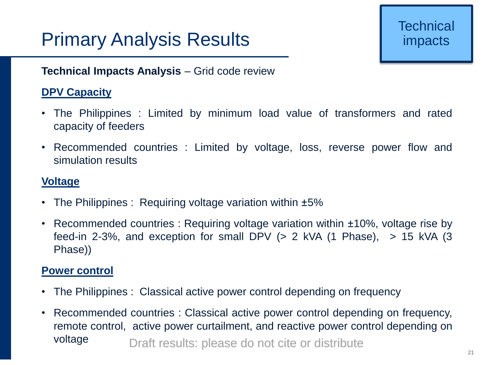# Primary Analysis Results

### **Technical Impacts Analysis** – Grid code review

### **DPV Capacity**

- The Philippines : Limited by minimum load value of transformers and rated capacity of feeders
- Recommended countries : Limited by voltage, loss, reverse power flow and simulation results

### **Voltage**

- The Philippines : Requiring voltage variation within  $\pm 5\%$
- Recommended countries : Requiring voltage variation within ±10%, voltage rise by feed-in 2-3%, and exception for small DPV  $(> 2 \text{ kVA} (1 \text{ Phase}), > 15 \text{ kVA} (3 \text{ A} \text{ A})))$ Phase))

#### **Power control**

- The Philippines : Classical active power control depending on frequency
- Draft results: please do not cite or distribute • Recommended countries : Classical active power control depending on frequency, remote control, active power curtailment, and reactive power control depending on voltage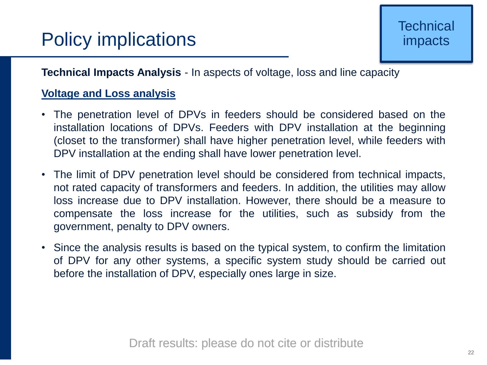**Technical Impacts Analysis** - In aspects of voltage, loss and line capacity

### **Voltage and Loss analysis**

- The penetration level of DPVs in feeders should be considered based on the installation locations of DPVs. Feeders with DPV installation at the beginning (closet to the transformer) shall have higher penetration level, while feeders with DPV installation at the ending shall have lower penetration level.
- The limit of DPV penetration level should be considered from technical impacts, not rated capacity of transformers and feeders. In addition, the utilities may allow loss increase due to DPV installation. However, there should be a measure to compensate the loss increase for the utilities, such as subsidy from the government, penalty to DPV owners.
- Since the analysis results is based on the typical system, to confirm the limitation of DPV for any other systems, a specific system study should be carried out before the installation of DPV, especially ones large in size.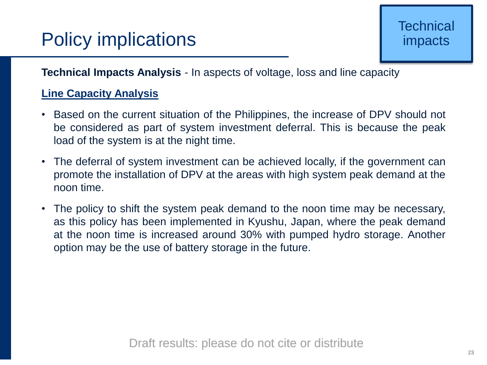**Technical Impacts Analysis** - In aspects of voltage, loss and line capacity

### **Line Capacity Analysis**

- Based on the current situation of the Philippines, the increase of DPV should not be considered as part of system investment deferral. This is because the peak load of the system is at the night time.
- The deferral of system investment can be achieved locally, if the government can promote the installation of DPV at the areas with high system peak demand at the noon time.
- The policy to shift the system peak demand to the noon time may be necessary, as this policy has been implemented in Kyushu, Japan, where the peak demand at the noon time is increased around 30% with pumped hydro storage. Another option may be the use of battery storage in the future.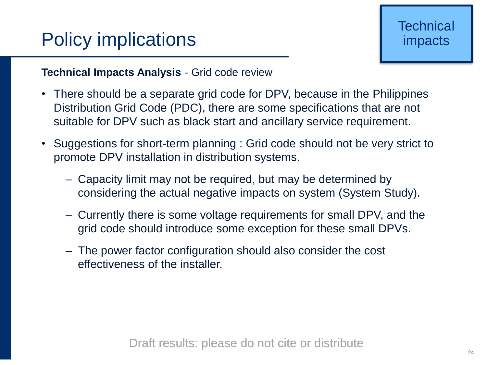### **Technical Impacts Analysis** - Grid code review

- There should be a separate grid code for DPV, because in the Philippines Distribution Grid Code (PDC), there are some specifications that are not suitable for DPV such as black start and ancillary service requirement.
- Suggestions for short-term planning : Grid code should not be very strict to promote DPV installation in distribution systems.
	- Capacity limit may not be required, but may be determined by considering the actual negative impacts on system (System Study).
	- Currently there is some voltage requirements for small DPV, and the grid code should introduce some exception for these small DPVs.
	- The power factor configuration should also consider the cost effectiveness of the installer.